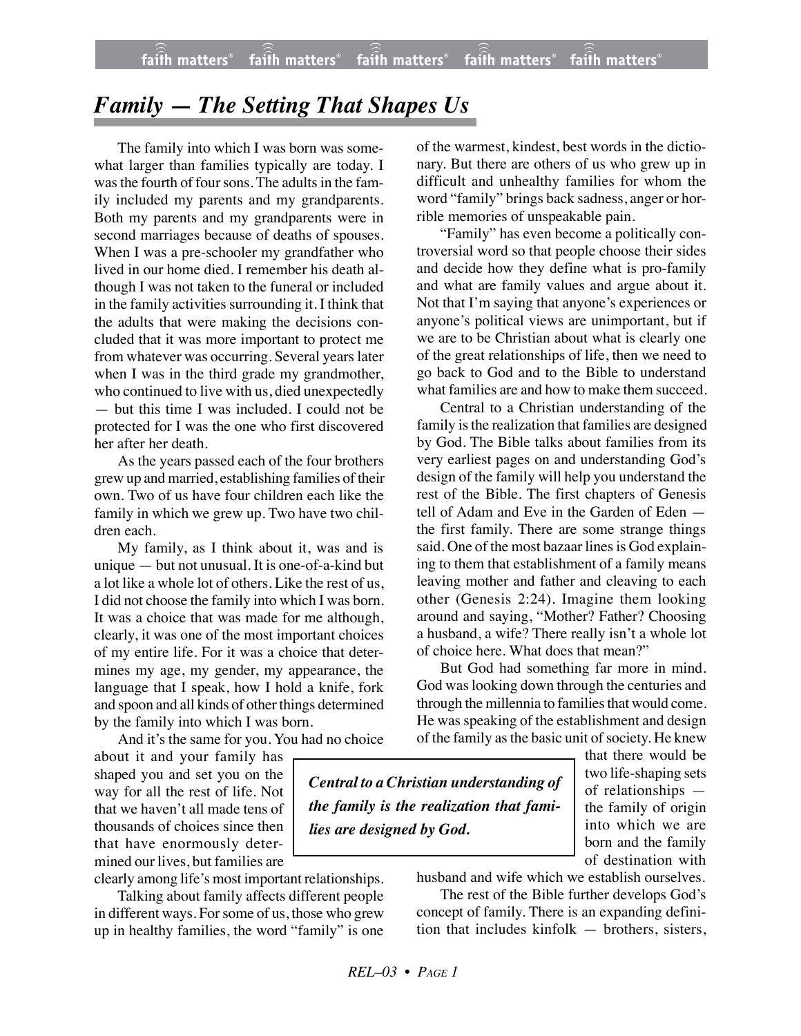## *Family — The Setting That Shapes Us*

The family into which I was born was somewhat larger than families typically are today. I was the fourth of four sons. The adults in the family included my parents and my grandparents. Both my parents and my grandparents were in second marriages because of deaths of spouses. When I was a pre-schooler my grandfather who lived in our home died. I remember his death although I was not taken to the funeral or included in the family activities surrounding it. I think that the adults that were making the decisions concluded that it was more important to protect me from whatever was occurring. Several years later when I was in the third grade my grandmother, who continued to live with us, died unexpectedly — but this time I was included. I could not be protected for I was the one who first discovered her after her death.

As the years passed each of the four brothers grew up and married, establishing families of their own. Two of us have four children each like the family in which we grew up. Two have two children each.

My family, as I think about it, was and is unique — but not unusual. It is one-of-a-kind but a lot like a whole lot of others. Like the rest of us, I did not choose the family into which I was born. It was a choice that was made for me although, clearly, it was one of the most important choices of my entire life. For it was a choice that determines my age, my gender, my appearance, the language that I speak, how I hold a knife, fork and spoon and all kinds of other things determined by the family into which I was born.

And it's the same for you. You had no choice

about it and your family has shaped you and set you on the way for all the rest of life. Not that we haven't all made tens of thousands of choices since then that have enormously determined our lives, but families are

clearly among life's most important relationships.

Talking about family affects different people in different ways. For some of us, those who grew up in healthy families, the word "family" is one of the warmest, kindest, best words in the dictionary. But there are others of us who grew up in difficult and unhealthy families for whom the word "family" brings back sadness, anger or horrible memories of unspeakable pain.

"Family" has even become a politically controversial word so that people choose their sides and decide how they define what is pro-family and what are family values and argue about it. Not that I'm saying that anyone's experiences or anyone's political views are unimportant, but if we are to be Christian about what is clearly one of the great relationships of life, then we need to go back to God and to the Bible to understand what families are and how to make them succeed.

Central to a Christian understanding of the family is the realization that families are designed by God. The Bible talks about families from its very earliest pages on and understanding God's design of the family will help you understand the rest of the Bible. The first chapters of Genesis tell of Adam and Eve in the Garden of Eden the first family. There are some strange things said. One of the most bazaar lines is God explaining to them that establishment of a family means leaving mother and father and cleaving to each other (Genesis 2:24). Imagine them looking around and saying, "Mother? Father? Choosing a husband, a wife? There really isn't a whole lot of choice here. What does that mean?"

But God had something far more in mind. God was looking down through the centuries and through the millennia to families that would come. He was speaking of the establishment and design of the family as the basic unit of society. He knew

*Central to a Christian understanding of the family is the realization that families are designed by God.*

that there would be two life-shaping sets of relationships the family of origin into which we are born and the family of destination with

husband and wife which we establish ourselves.

The rest of the Bible further develops God's concept of family. There is an expanding definition that includes kinfolk — brothers, sisters,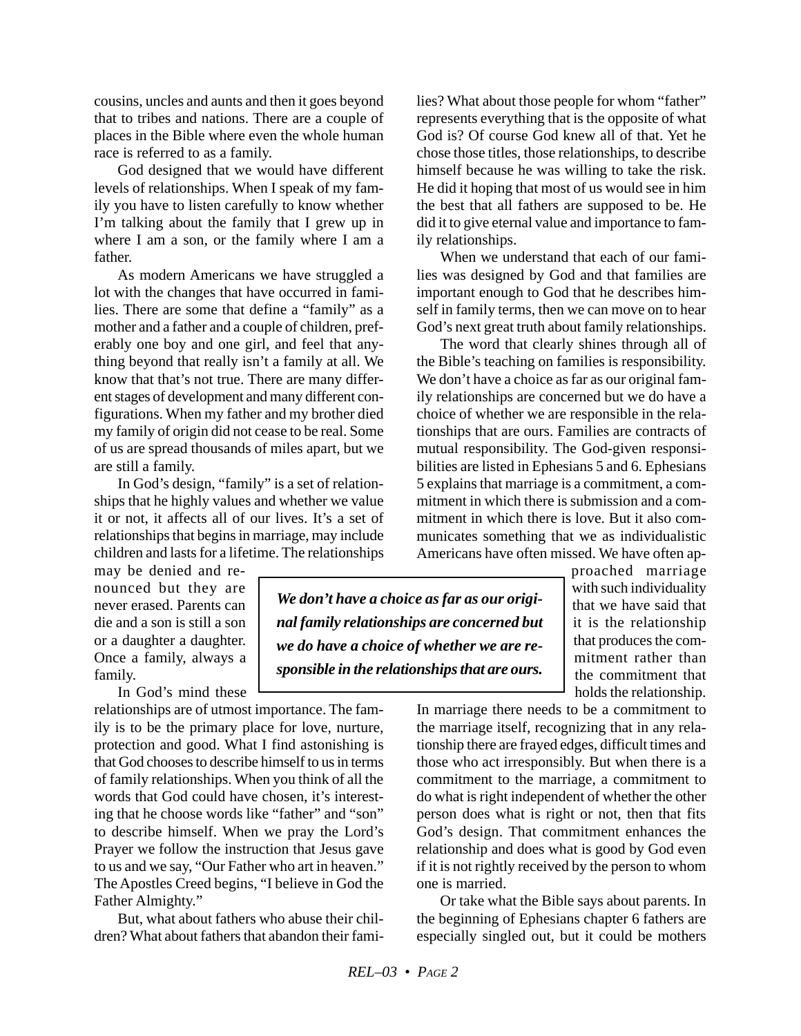cousins, uncles and aunts and then it goes beyond that to tribes and nations. There are a couple of places in the Bible where even the whole human race is referred to as a family.

God designed that we would have different levels of relationships. When I speak of my family you have to listen carefully to know whether I'm talking about the family that I grew up in where I am a son, or the family where I am a father.

As modern Americans we have struggled a lot with the changes that have occurred in families. There are some that define a "family" as a mother and a father and a couple of children, preferably one boy and one girl, and feel that anything beyond that really isn't a family at all. We know that that's not true. There are many different stages of development and many different configurations. When my father and my brother died my family of origin did not cease to be real. Some of us are spread thousands of miles apart, but we are still a family.

In God's design, "family" is a set of relationships that he highly values and whether we value it or not, it affects all of our lives. It's a set of relationships that begins in marriage, may include children and lasts for a lifetime. The relationships

may be denied and renounced but they are never erased. Parents can die and a son is still a son or a daughter a daughter. Once a family, always a family.

In God's mind these

relationships are of utmost importance. The family is to be the primary place for love, nurture, protection and good. What I find astonishing is that God chooses to describe himself to us in terms of family relationships. When you think of all the words that God could have chosen, it's interesting that he choose words like "father" and "son" to describe himself. When we pray the Lord's Prayer we follow the instruction that Jesus gave to us and we say, "Our Father who art in heaven." The Apostles Creed begins, "I believe in God the Father Almighty."

But, what about fathers who abuse their children? What about fathers that abandon their families? What about those people for whom "father" represents everything that is the opposite of what God is? Of course God knew all of that. Yet he chose those titles, those relationships, to describe himself because he was willing to take the risk. He did it hoping that most of us would see in him the best that all fathers are supposed to be. He did it to give eternal value and importance to family relationships.

When we understand that each of our families was designed by God and that families are important enough to God that he describes himself in family terms, then we can move on to hear God's next great truth about family relationships.

The word that clearly shines through all of the Bible's teaching on families is responsibility. We don't have a choice as far as our original family relationships are concerned but we do have a choice of whether we are responsible in the relationships that are ours. Families are contracts of mutual responsibility. The God-given responsibilities are listed in Ephesians 5 and 6. Ephesians 5 explains that marriage is a commitment, a commitment in which there is submission and a commitment in which there is love. But it also communicates something that we as individualistic Americans have often missed. We have often ap-

*We don't have a choice as far as our original family relationships are concerned but we do have a choice of whether we are responsible in the relationships that are ours.*

proached marriage with such individuality that we have said that it is the relationship that produces the commitment rather than the commitment that holds the relationship.

In marriage there needs to be a commitment to the marriage itself, recognizing that in any relationship there are frayed edges, difficult times and those who act irresponsibly. But when there is a commitment to the marriage, a commitment to do what is right independent of whether the other person does what is right or not, then that fits God's design. That commitment enhances the relationship and does what is good by God even if it is not rightly received by the person to whom one is married.

Or take what the Bible says about parents. In the beginning of Ephesians chapter 6 fathers are especially singled out, but it could be mothers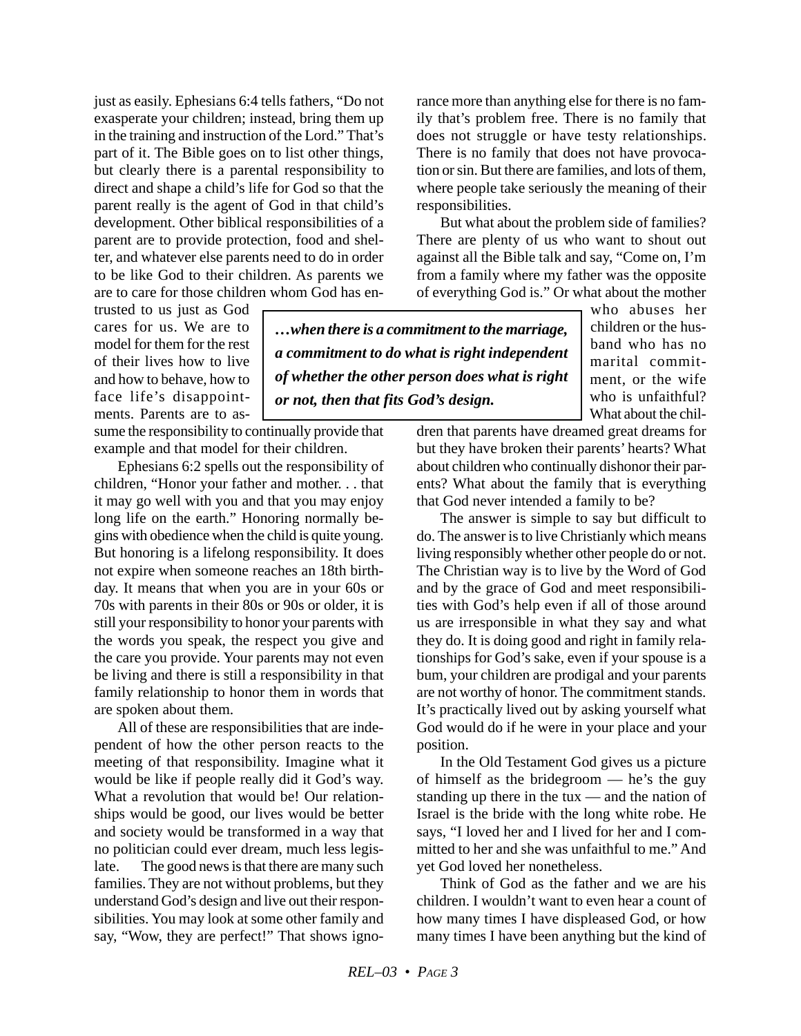just as easily. Ephesians 6:4 tells fathers, "Do not exasperate your children; instead, bring them up in the training and instruction of the Lord." That's part of it. The Bible goes on to list other things, but clearly there is a parental responsibility to direct and shape a child's life for God so that the parent really is the agent of God in that child's development. Other biblical responsibilities of a parent are to provide protection, food and shelter, and whatever else parents need to do in order to be like God to their children. As parents we are to care for those children whom God has en-

trusted to us just as God cares for us. We are to model for them for the rest of their lives how to live and how to behave, how to face life's disappointments. Parents are to assume the responsibility to continually provide that example and that model for their children.

Ephesians 6:2 spells out the responsibility of children, "Honor your father and mother. . . that it may go well with you and that you may enjoy long life on the earth." Honoring normally begins with obedience when the child is quite young. But honoring is a lifelong responsibility. It does not expire when someone reaches an 18th birthday. It means that when you are in your 60s or 70s with parents in their 80s or 90s or older, it is still your responsibility to honor your parents with the words you speak, the respect you give and the care you provide. Your parents may not even be living and there is still a responsibility in that family relationship to honor them in words that are spoken about them.

All of these are responsibilities that are independent of how the other person reacts to the meeting of that responsibility. Imagine what it would be like if people really did it God's way. What a revolution that would be! Our relationships would be good, our lives would be better and society would be transformed in a way that no politician could ever dream, much less legislate. The good news is that there are many such families. They are not without problems, but they understand God's design and live out their responsibilities. You may look at some other family and say, "Wow, they are perfect!" That shows ignorance more than anything else for there is no family that's problem free. There is no family that does not struggle or have testy relationships. There is no family that does not have provocation or sin. But there are families, and lots of them, where people take seriously the meaning of their responsibilities.

But what about the problem side of families? There are plenty of us who want to shout out against all the Bible talk and say, "Come on, I'm from a family where my father was the opposite of everything God is." Or what about the mother

*…when there is a commitment to the marriage, a commitment to do what is right independent of whether the other person does what is right or not, then that fits God's design.*

who abuses her children or the husband who has no marital commitment, or the wife who is unfaithful? What about the chil-

dren that parents have dreamed great dreams for but they have broken their parents' hearts? What about children who continually dishonor their parents? What about the family that is everything that God never intended a family to be?

The answer is simple to say but difficult to do. The answer is to live Christianly which means living responsibly whether other people do or not. The Christian way is to live by the Word of God and by the grace of God and meet responsibilities with God's help even if all of those around us are irresponsible in what they say and what they do. It is doing good and right in family relationships for God's sake, even if your spouse is a bum, your children are prodigal and your parents are not worthy of honor. The commitment stands. It's practically lived out by asking yourself what God would do if he were in your place and your position.

In the Old Testament God gives us a picture of himself as the bridegroom — he's the guy standing up there in the tux — and the nation of Israel is the bride with the long white robe. He says, "I loved her and I lived for her and I committed to her and she was unfaithful to me." And yet God loved her nonetheless.

Think of God as the father and we are his children. I wouldn't want to even hear a count of how many times I have displeased God, or how many times I have been anything but the kind of